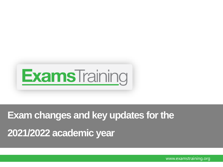

# **Exam changes and key updates for the**

**2021/2022 academic year**

www.examstraining.org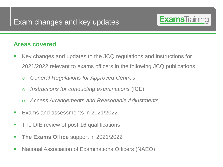

#### **Areas covered**

- Key changes and updates to the JCQ regulations and instructions for 2021/2022 relevant to exams officers in the following JCQ publications:
	- o *General Regulations for Approved Centres*
	- o *Instructions for conducting examinations* (ICE)
	- o *Access Arrangements and Reasonable Adjustments*
- Exams and assessments in 2021/2022
- The DfE review of post-16 qualifications
- **The Exams Office** support in 2021/2022
- National Association of Examinations Officers (NAEO)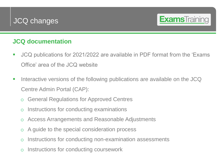

#### **JCQ documentation**

- JCQ publications for 2021/2022 are available in PDF format from the 'Exams Office' area of the JCQ website
- Interactive versions of the following publications are available on the JCQ Centre Admin Portal (CAP):
	- **General Regulations for Approved Centres**
	- o Instructions for conducting examinations
	- o Access Arrangements and Reasonable Adjustments
	- o A guide to the special consideration process
	- o Instructions for conducting non-examination assessments
	- o Instructions for conducting coursework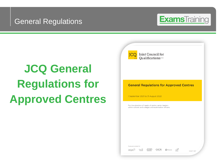#### General Regulations



# **JCQ General Regulations for Approved Centres**

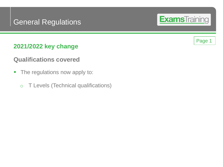### General Regulations

#### **2021/2022 key change**

#### **Qualifications covered**

- The regulations now apply to:
	- o T Levels (Technical qualifications)



Page 1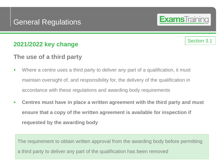#### **The use of a third party**

- Where a centre uses a third party to deliver any part of a qualification, it must maintain oversight of, and responsibility for, the delivery of the qualification in accordance with these regulations and awarding body requirements
- **Centres must have in place a written agreement with the third party and must ensure that a copy of the written agreement is available for inspection if requested by the awarding body**

The requirement to obtain written approval from the awarding body before permitting a third party to deliver any part of the qualification has been removed

# **Exams**Training

Section 3.1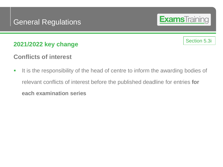#### **Conflicts of interest**

**.** It is the responsibility of the head of centre to inform the awarding bodies of relevant conflicts of interest before the published deadline for entries **for each examination series** 

Section 5.3i

**Exams**Training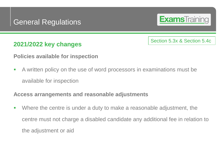# **Exams**Training

Section 5.3x & Section 5.4c

#### **2021/2022 key changes**

**Policies available for inspection**

**EX A written policy on the use of word processors in examinations must be** available for inspection

#### **Access arrangements and reasonable adjustments**

■ Where the centre is under a duty to make a reasonable adjustment, the centre must not charge a disabled candidate any additional fee in relation to the adjustment or aid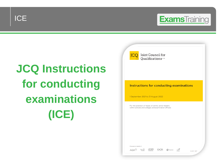

# **JCQ Instructions for conducting examinations (ICE)**

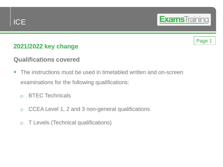

#### Page 1

#### **2021/2022 key change**

#### **Qualifications covered**

- **The instructions must be used in timetabled written and on-screen** examinations for the following qualifications:
	- o BTEC Technicals
	- o CCEA Level 1, 2 and 3 non-general qualifications
	- o T Levels (Technical qualifications)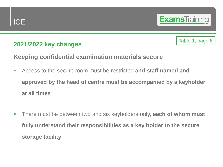

Table 1, page 8

#### **Keeping confidential examination materials secure**

- Access to the secure room must be restricted **and staff named and approved by the head of centre must be accompanied by a keyholder at all times**
- There must be between two and six keyholders only, **each of whom must fully understand their responsibilities as a key holder to the secure storage facility**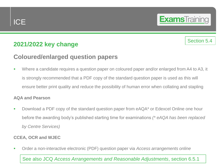#### **2021/2022 key change**

#### **Coloured/enlarged question papers**

Where a candidate requires a question paper on coloured paper and/or enlarged from A4 to A3, it is strongly recommended that a PDF copy of the standard question paper is used as this will ensure better print quality and reduce the possibility of human error when collating and stapling

#### **AQA and Pearson**

■ Download a PDF copy of the standard question paper from eAQA<sup>\*</sup> or Edexcel Online one hour before the awarding body's published starting time for examinations *(\* eAQA has been replaced by Centre Services)*

#### **CCEA, OCR and WJEC**

▪ Order a non-interactive electronic (PDF) question paper via *Access arrangements online*

See also JCQ *Access Arrangements and Reasonable Adjustments*, section 6.5.1

#### Section 5.4

**Exams**Training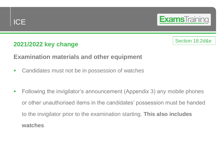

#### Section 18.2d&e

#### **Examination materials and other equipment**

- Candidates must not be in possession of watches
- Following the invigilator's announcement (Appendix 3) any mobile phones or other unauthorised items in the candidates' possession must be handed to the invigilator prior to the examination starting. **This also includes watches**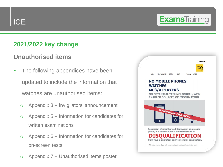

#### **2021/2022 key change**

#### **Unauthorised items**

- **The following appendices have been** updated to include the information that watches are unauthorised items:
	- o Appendix 3 Invigilators' announcement
	- o Appendix 5 Information for candidates for written examinations
	- o Appendix 6 Information for candidates for on-screen tests
	- o Appendix 7 Unauthorised items poster

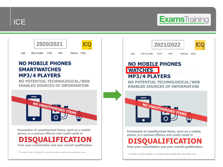



phone, is a serious offence and could result in

## ISQUALIFICATION

from your examination and your overall qualification.

This poster must be displayed in a prominent place outside each examination room.

| City & Guilds<br><b>CCEA</b><br><b>OCR</b><br><b>AQA</b><br>Pearson<br><b>WJFC</b><br><b>NO MOBILE PHONES</b><br><b>WATCHES</b><br><b>MP3/4 PLAYERS</b><br>NO POTENTIAL TECHNOLOGICAL/WEB<br><b>ENABLED SOURCES OF INFORMATION</b><br>NO UNAUTHORISED ITEMS | 2021/2022 |
|-------------------------------------------------------------------------------------------------------------------------------------------------------------------------------------------------------------------------------------------------------------|-----------|
|                                                                                                                                                                                                                                                             |           |
|                                                                                                                                                                                                                                                             |           |
|                                                                                                                                                                                                                                                             |           |

Possession of unauthorised items, such as a mobile phone, is a serious offence and could result in

UALIEICATI ON from your examination and your overall qualification.

This poster must be displayed in a prominent place outside each examination room.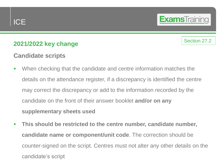#### **2021/2022 key change**

#### **Candidate scripts**

■ When checking that the candidate and centre information matches the details on the attendance register, if a discrepancy is identified the centre may correct the discrepancy or add to the information recorded by the candidate on the front of their answer booklet **and/or on any supplementary sheets used**

Section 27.2

**Exams**Training

▪ **This should be restricted to the centre number, candidate number, candidate name or component/unit code**. The correction should be counter-signed on the script. Centres must not alter any other details on the candidate's script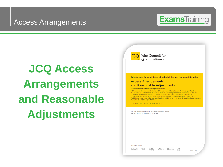### Access Arrangements



**JCQ Access Arrangements and Reasonable Adjustments**

| Joint Council for<br>JC <sub>(</sub><br>Qualifications one<br>ci c                                                                                                                                                                                                                                                                                                                                                                                                                                                                                                                                                                                                                                                                                                            |
|-------------------------------------------------------------------------------------------------------------------------------------------------------------------------------------------------------------------------------------------------------------------------------------------------------------------------------------------------------------------------------------------------------------------------------------------------------------------------------------------------------------------------------------------------------------------------------------------------------------------------------------------------------------------------------------------------------------------------------------------------------------------------------|
| Adjustments for candidates with disabilities and learning difficulties<br><b>Access Arrangements</b><br>and Reasonable Adjustments<br>This booklet covers the following qualifications:<br>AQA Applied General qualifications, AQA Level 1, Level 2 and Level 3 Technical qualifications,<br>BTEC Firsts, BTEC Nationals, BTEC Tech Awards, Cambridge Nationals, Cambridge Technicals,<br>CCEA Key Skills qualifications, City & Guilds Level 2 and Level 3 Technical qualifications,<br>ELC, FSMQ, GCE, GCSE, OCR Level 3 Certificates, Welsh Baccalaureate Qualification (WBQ),<br>WJEC Level 1 and Level 2 General qualifications, WJEC Level 1 and Level 2 Vocational qualifications,<br><b>WJEC Level 3 Applied qualifications</b><br>1 September 2021 to 31 August 2022 |
| For the attention of SENCos, assessors and senior<br>leaders within schools and colleges.                                                                                                                                                                                                                                                                                                                                                                                                                                                                                                                                                                                                                                                                                     |
| Produced on behalf of:<br>$A \Omega A$<br><b>P</b> Pearson<br>@JCQPF 2021                                                                                                                                                                                                                                                                                                                                                                                                                                                                                                                                                                                                                                                                                                     |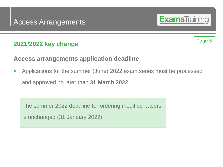#### **Access arrangements application deadline**

**• Applications for the summer (June) 2022 exam series must be processed** and approved no later than **31 March 2022**

The summer 2022 deadline for ordering modified papers

is unchanged (31 January 2022)

**Exams**Training

Page 5